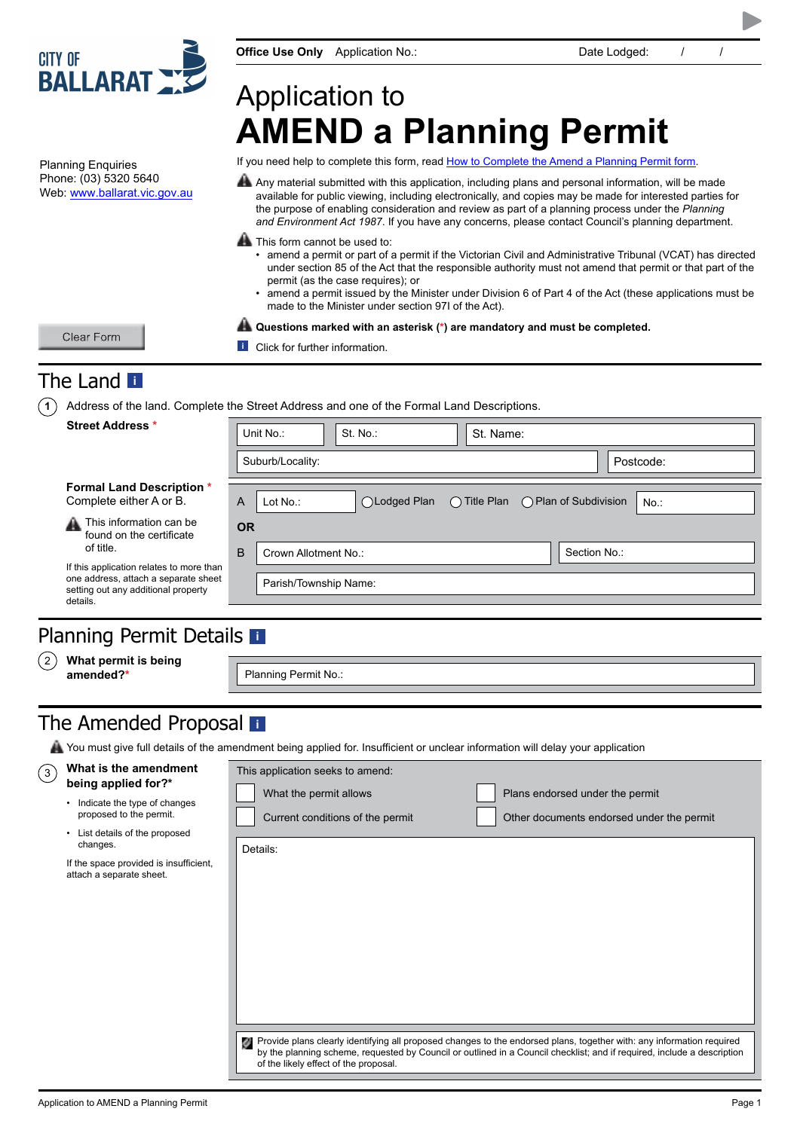

**Office Use Only** Application No.: Date Lodged:  $/$  /

# Application to **AMEND a Planning Permit**

If you need help to complete this form, read [How to Complete the Amend a Planning Permit form.](http://www.dtpli.vic.gov.au/planning/planning-applications/amending-a-planning-permit)

Any material submitted with this application, including plans and personal information, will be made available for public viewing, including electronically, and copies may be made for interested parties for the purpose of enabling consideration and review as part of a planning process under the *Planning and Environment Act 1987*. If you have any concerns, please contact Council's planning department.

**A** This form cannot be used to:

- amend a permit or part of a permit if the Victorian Civil and Administrative Tribunal (VCAT) has directed under section 85 of the Act that the responsible authority must not amend that permit or that part of the permit (as the case requires); or
- amend a permit issued by the Minister under Division 6 of Part 4 of the Act (these applications must be made to the Minister under section 97I of the Act).

**Questions marked with an asterisk (\*) are mandatory and must be completed.**

Clear Form

Planning Enquiries Phone: (03) 5320 5640 Web: www.ballarat.vic.gov.au

**i** Click for further information.

# The Land**<sup>i</sup>**

**1** Address of the land. Complete the Street Address and one of the Formal Land Descriptions.

| <b>Street Address *</b>                                                                                                                          | Unit No.:<br>St. No.:<br>St. Name:                                      |  |  |  |  |
|--------------------------------------------------------------------------------------------------------------------------------------------------|-------------------------------------------------------------------------|--|--|--|--|
|                                                                                                                                                  | Suburb/Locality:<br>Postcode:                                           |  |  |  |  |
| <b>Formal Land Description *</b><br>Complete either A or B.                                                                                      | ○Lodged Plan ○ Title Plan ○ Plan of Subdivision<br>A<br>Lot No.:<br>No. |  |  |  |  |
| This information can be<br>飝<br>found on the certificate                                                                                         | <b>OR</b>                                                               |  |  |  |  |
| of title.<br>If this application relates to more than<br>one address, attach a separate sheet<br>setting out any additional property<br>details. | B<br>Section No.:<br>Crown Allotment No.:                               |  |  |  |  |
|                                                                                                                                                  | Parish/Township Name:                                                   |  |  |  |  |
|                                                                                                                                                  |                                                                         |  |  |  |  |

### Planning Permit Details **[i](#page-4-0)**

**What permit is being amended?\*** 2

Planning Permit No.:

# The Amended Proposal **[i](#page-4-0)**

You must give full details of the amendment being applied for. Insufficient or unclear information will delay your application

#### **What is the amendment being applied for?\***

์ 3

- Indicate the type of changes proposed to the permit.
- List details of the proposed changes.

| If the space provided is insufficient, |
|----------------------------------------|
| attach a separate sheet.               |

| This application seeks to amend:          |                                                                                                                                                                                                                                                  |
|-------------------------------------------|--------------------------------------------------------------------------------------------------------------------------------------------------------------------------------------------------------------------------------------------------|
| What the permit allows                    | Plans endorsed under the permit                                                                                                                                                                                                                  |
| Current conditions of the permit          | Other documents endorsed under the permit                                                                                                                                                                                                        |
| Details:                                  |                                                                                                                                                                                                                                                  |
|                                           |                                                                                                                                                                                                                                                  |
|                                           |                                                                                                                                                                                                                                                  |
|                                           |                                                                                                                                                                                                                                                  |
|                                           |                                                                                                                                                                                                                                                  |
|                                           |                                                                                                                                                                                                                                                  |
|                                           |                                                                                                                                                                                                                                                  |
|                                           |                                                                                                                                                                                                                                                  |
|                                           |                                                                                                                                                                                                                                                  |
| 襷<br>of the likely effect of the proposal | Provide plans clearly identifying all proposed changes to the endorsed plans, together with: any information required<br>by the planning scheme, requested by Council or outlined in a Council checklist; and if required, include a description |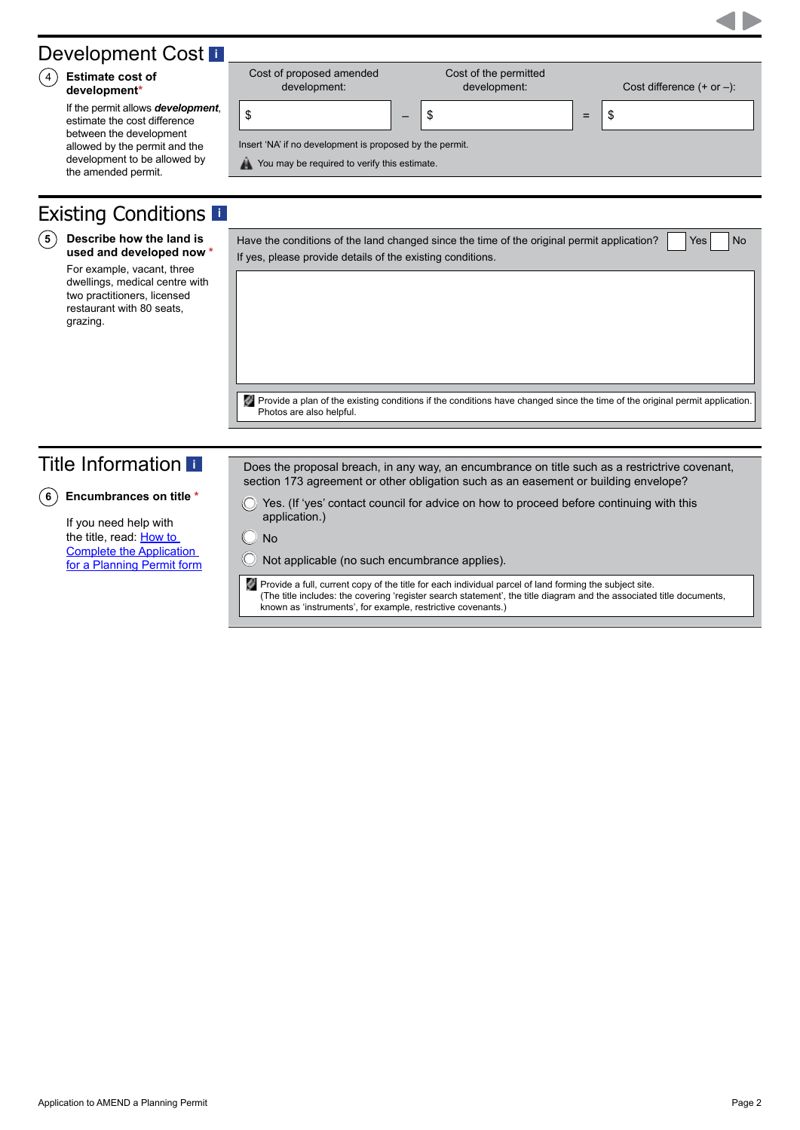### **[i](#page-4-0)**

# Existing Conditions**<sup>i</sup>**

#### **Describe how the land is 5 used and developed now \***

For example, vacant, three dwellings, medical centre with two practitioners, licensed restaurant with 80 seats, grazing.

| Have the conditions of the land changed since the time of the original permit application? $\Box$ Yes No |  |  |
|----------------------------------------------------------------------------------------------------------|--|--|
| If yes, please provide details of the existing conditions.                                               |  |  |

### Title Information**<sup>i</sup>**

**6 Encumbrances on title \***

If you need help with the title, read: How to [Complete the Application](http://www.dtpli.vic.gov.au/planning/planning-applications/amending-a-planning-permit)  [for a Planning Permit form](http://www.dtpli.vic.gov.au/planning/planning-applications/amending-a-planning-permit) Does the proposal breach, in any way, an encumbrance on title such as a restrictrive covenant, section 173 agreement or other obligation such as an easement or building envelope?

Yes. (If 'yes' contact council for advice on how to proceed before continuing with this application.)

 $\bigcirc$  No

Not applicable (no such encumbrance applies).

Provide a full, current copy of the title for each individual parcel of land forming the subject site. (The title includes: the covering 'register search statement', the title diagram and the associated title documents, known as 'instruments', for example, restrictive covenants.)



| Development Cost L                                                                                                                                            |                                                                                                                     |                                       |     |                            |
|---------------------------------------------------------------------------------------------------------------------------------------------------------------|---------------------------------------------------------------------------------------------------------------------|---------------------------------------|-----|----------------------------|
| <b>Estimate cost of</b><br>$\left(4\right)$<br>development*                                                                                                   | Cost of proposed amended<br>development:                                                                            | Cost of the permitted<br>development: |     | Cost difference $(+ or -)$ |
| If the permit allows development,<br>estimate the cost difference<br>between the development<br>allowed by the permit and the<br>development to be allowed by | \$<br>Insert 'NA' if no development is proposed by the permit.<br>You may be required to verify this estimate.<br>燕 | \$<br>–                               | $=$ | -\$                        |
| the amended permit.                                                                                                                                           |                                                                                                                     |                                       |     |                            |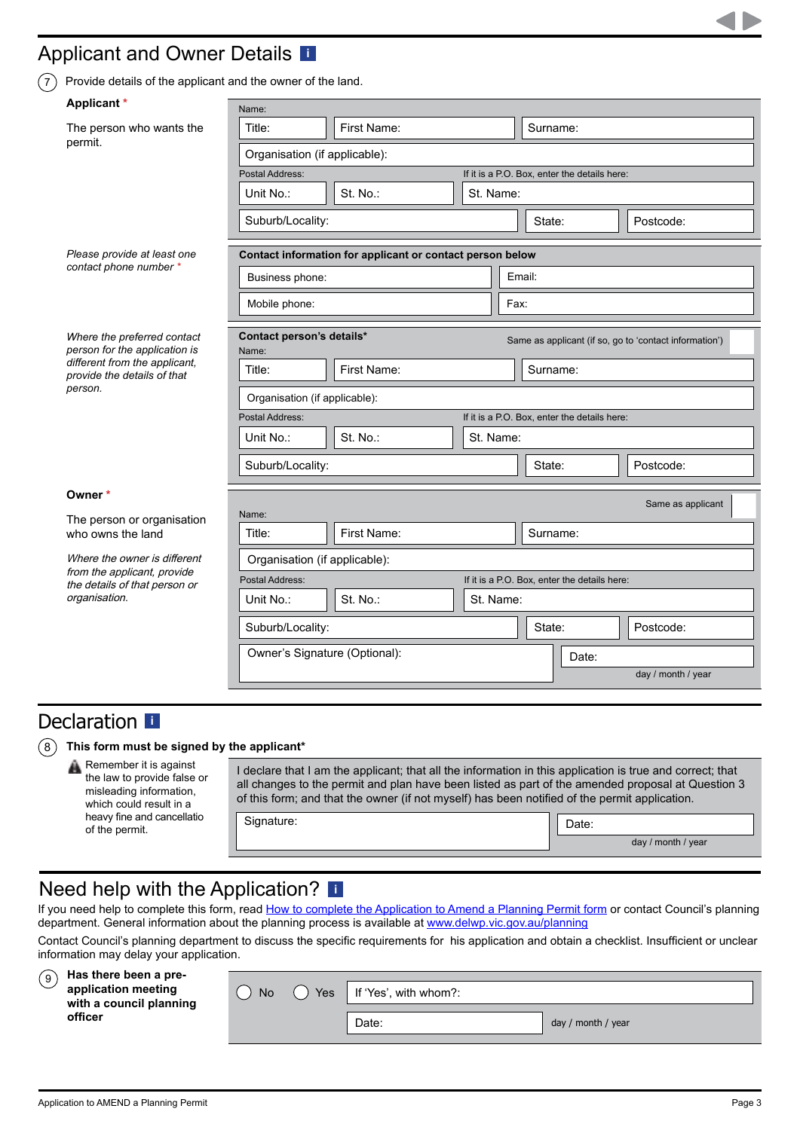## Applicant and Owner Details **[i](#page-5-0)**

 $(7)$  Provide details of the applicant and the owner of the land.

| Applicant*                                                                                                    | Name:                                                                         |                                                           |           |                                                        |                    |  |  |
|---------------------------------------------------------------------------------------------------------------|-------------------------------------------------------------------------------|-----------------------------------------------------------|-----------|--------------------------------------------------------|--------------------|--|--|
| The person who wants the                                                                                      | Title:                                                                        | First Name:                                               |           | Surname:                                               |                    |  |  |
| permit.                                                                                                       | Organisation (if applicable):                                                 |                                                           |           |                                                        |                    |  |  |
|                                                                                                               | Postal Address:<br>If it is a P.O. Box, enter the details here:               |                                                           |           |                                                        |                    |  |  |
|                                                                                                               | Unit No.:                                                                     | St. No.:                                                  | St. Name: |                                                        |                    |  |  |
|                                                                                                               | Suburb/Locality:                                                              |                                                           |           | State:                                                 | Postcode:          |  |  |
| Please provide at least one                                                                                   |                                                                               | Contact information for applicant or contact person below |           |                                                        |                    |  |  |
| contact phone number *                                                                                        | Business phone:                                                               |                                                           |           | Email:                                                 |                    |  |  |
|                                                                                                               | Mobile phone:                                                                 |                                                           |           | Fax:                                                   |                    |  |  |
| Where the preferred contact<br>person for the application is                                                  | Contact person's details*<br>Name:                                            |                                                           |           | Same as applicant (if so, go to 'contact information') |                    |  |  |
| different from the applicant,<br>provide the details of that                                                  | First Name:<br>Title:                                                         |                                                           |           | Surname:                                               |                    |  |  |
| person.                                                                                                       | Organisation (if applicable):                                                 |                                                           |           |                                                        |                    |  |  |
|                                                                                                               | Postal Address:                                                               |                                                           |           | If it is a P.O. Box, enter the details here:           |                    |  |  |
|                                                                                                               | Unit No.:                                                                     | St. No.:                                                  | St. Name: |                                                        |                    |  |  |
|                                                                                                               | Suburb/Locality:                                                              |                                                           |           | State:                                                 | Postcode:          |  |  |
| Owner *                                                                                                       |                                                                               |                                                           |           |                                                        | Same as applicant  |  |  |
| The person or organisation<br>who owns the land                                                               | Name:<br>Title:                                                               | First Name:                                               |           | Surname:                                               |                    |  |  |
|                                                                                                               |                                                                               |                                                           |           |                                                        |                    |  |  |
| Where the owner is different<br>from the applicant, provide<br>the details of that person or<br>organisation. | Organisation (if applicable):<br>If it is a P.O. Box, enter the details here: |                                                           |           |                                                        |                    |  |  |
|                                                                                                               | Postal Address:<br>St. No.:<br>Unit No.:                                      |                                                           | St. Name: |                                                        |                    |  |  |
|                                                                                                               |                                                                               |                                                           |           |                                                        |                    |  |  |
|                                                                                                               | Suburb/Locality:                                                              |                                                           |           | State:                                                 | Postcode:          |  |  |
|                                                                                                               | Owner's Signature (Optional):                                                 |                                                           |           | Date:                                                  |                    |  |  |
|                                                                                                               |                                                                               |                                                           |           |                                                        | day / month / year |  |  |

### Declarat[i](#page-5-0)on **i**

### 8 **This form must be signed by the applicant\***

Remember it is against the law to provide false or misleading information, which could result in a heavy fine and cancellatio of the permit.

I declare that I am the applicant; that all the information in this application is true and correct; that all changes to the permit and plan have been listed as part of the amended proposal at Question 3 of this form; and that the owner (if not myself) has been notified of the permit application.

Signature:  $\begin{array}{|c|c|c|c|c|}\n\hline\n\text{D} & \text{D} & \text{D} & \text{D} \\\hline\n\end{array}$ 

day / month / year

### Need help with the Application? **[i](#page-5-0)**

If you need help to complete this form, read [How to complete the Application to Amend a Planning Permit form](http://www.dtpli.vic.gov.au/planning/planning-applications/amending-a-planning-permit) or contact Council's planning department. General information about the planning process is available at [www.delwp.vic.gov.au/planning](http://www.delwp.vic.gov.au/planning)

Contact Council's planning department to discuss the specific requirements for his application and obtain a checklist. Insufficient or unclear information may delay your application.

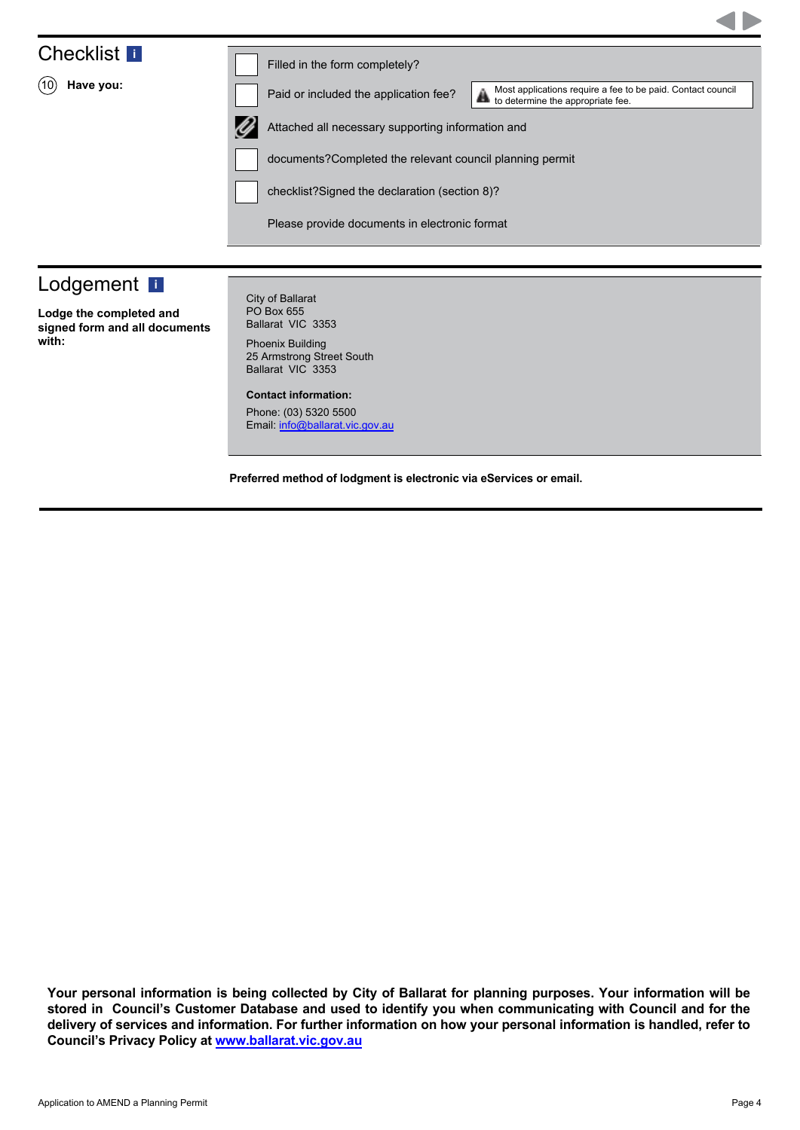# Checklist **[i](#page-5-0)**

10 **Have you:**

Filled in the form completely?



Paid or included the application fee?

Attached all necessary supporting information and **the Urust approximate fee.**<br>to determine the appropriate fee.

Most applications require a fee to be paid. Contact council

documents?Completed the relevant council planning permit

checklist?Signed the declaration (section 8)?

Please provide documents in electronic format

# Lodgement **i**

**Lodge the completed and signed form and all documents with:**

City of Ballarat PO Box 655 Ballarat VIC 3353

Phoenix Building 25 Armstrong Street South Ballarat VIC 3353

**Contact information:**

Phone: (03) 5320 5500 Email: info@ballarat.vic.gov.au

**Preferred method of lodgment is electronic via eServices or email.**

**Your personal information is being collected by City of Ballarat for planning purposes. Your information will be stored in Council's Customer Database and used to identify you when communicating with Council and for the delivery of services and information. For further information on how your personal information is handled, refer to Council's Privacy Policy at www.ballarat.vic.gov.au**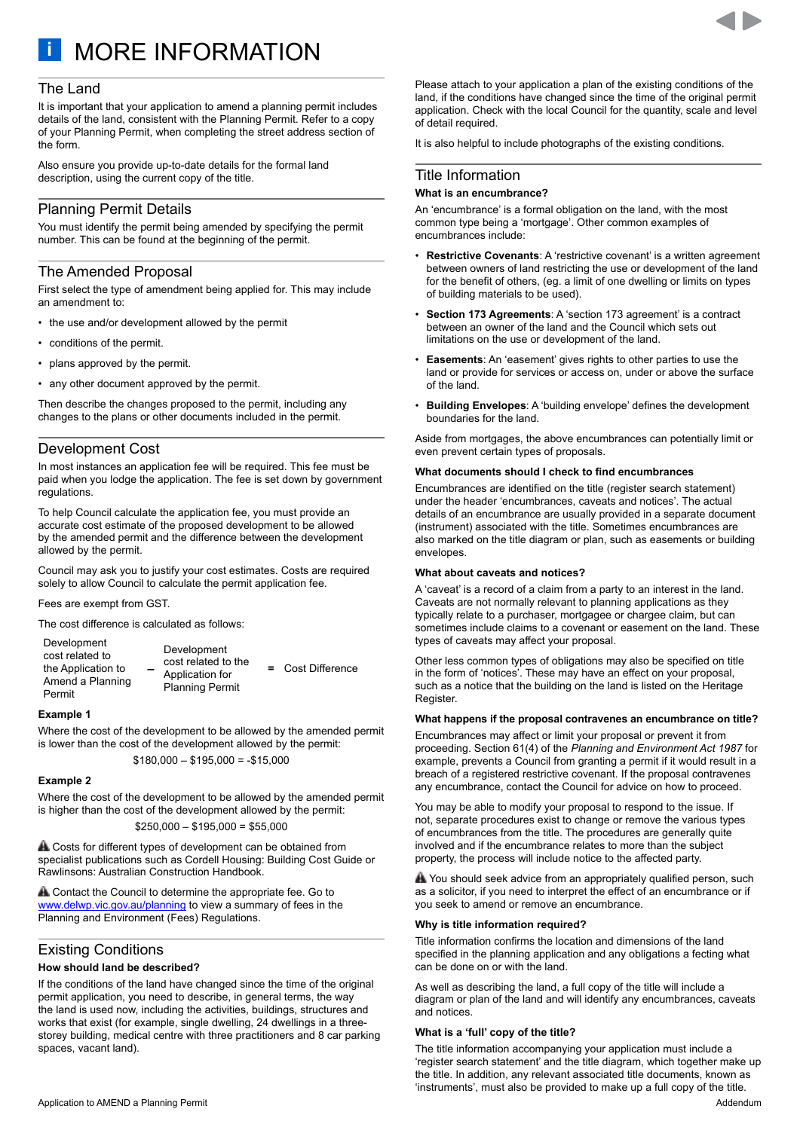<span id="page-4-0"></span>**i** MORE INFORMATION

#### The Land

It is important that your application to amend a planning permit includes details of the land, consistent with the Planning Permit. Refer to a copy of your Planning Permit, when completing the street address section of the form.

Also ensure you provide up-to-date details for the formal land description, using the current copy of the title.

### Planning Permit Details

You must identify the permit being amended by specifying the permit number. This can be found at the beginning of the permit.

#### The Amended Proposal

First select the type of amendment being applied for. This may include an amendment to:

- the use and/or development allowed by the permit
- conditions of the permit.
- plans approved by the permit.
- any other document approved by the permit.

Then describe the changes proposed to the permit, including any changes to the plans or other documents included in the permit.

### Development Cost

In most instances an application fee will be required. This fee must be paid when you lodge the application. The fee is set down by government regulations.

To help Council calculate the application fee, you must provide an accurate cost estimate of the proposed development to be allowed by the amended permit and the difference between the development allowed by the permit.

Council may ask you to justify your cost estimates. Costs are required solely to allow Council to calculate the permit application fee.

Fees are exempt from GST.

The cost difference is calculated as follows:

| Development<br>cost related to<br>the Application to<br>Amend a Planning<br>Permit | Development<br>cost related to the<br>Application for<br><b>Planning Permit</b> |  | = Cost Difference |
|------------------------------------------------------------------------------------|---------------------------------------------------------------------------------|--|-------------------|
|------------------------------------------------------------------------------------|---------------------------------------------------------------------------------|--|-------------------|

#### **Example 1**

Where the cost of the development to be allowed by the amended permit is lower than the cost of the development allowed by the permit:

 $$180,000 - $195,000 = -$15,000$ 

#### **Example 2**

Where the cost of the development to be allowed by the amended permit is higher than the cost of the development allowed by the permit:

 $$250,000 - $195,000 = $55,000$ 

**A.** Costs for different types of development can be obtained from specialist publications such as Cordell Housing: Building Cost Guide or Rawlinsons: Australian Construction Handbook.

**A** Contact the Council to determine the appropriate fee. Go to [www.delwp.vic.gov.au/planning](http://www.delwp.vic.gov.au/planning) to view a summary of fees in the Planning and Environment (Fees) Regulations.

### Existing Conditions

#### **How should land be described?**

If the conditions of the land have changed since the time of the original permit application, you need to describe, in general terms, the way the land is used now, including the activities, buildings, structures and works that exist (for example, single dwelling, 24 dwellings in a threestorey building, medical centre with three practitioners and 8 car parking spaces, vacant land).

Please attach to your application a plan of the existing conditions of the land, if the conditions have changed since the time of the original permit application. Check with the local Council for the quantity, scale and level of detail required.

It is also helpful to include photographs of the existing conditions.

#### Title Information

#### **What is an encumbrance?**

An 'encumbrance' is a formal obligation on the land, with the most common type being a 'mortgage'. Other common examples of encumbrances include:

- **Restrictive Covenants**: A 'restrictive covenant' is a written agreement between owners of land restricting the use or development of the land for the benefit of others, (eg. a limit of one dwelling or limits on types of building materials to be used).
- **Section 173 Agreements**: A 'section 173 agreement' is a contract between an owner of the land and the Council which sets out limitations on the use or development of the land.
- **Easements**: An 'easement' gives rights to other parties to use the land or provide for services or access on, under or above the surface of the land.
- **Building Envelopes**: A 'building envelope' defines the development boundaries for the land.

Aside from mortgages, the above encumbrances can potentially limit or even prevent certain types of proposals.

#### **What documents should I check to find encumbrances**

Encumbrances are identified on the title (register search statement) under the header 'encumbrances, caveats and notices'. The actual details of an encumbrance are usually provided in a separate document (instrument) associated with the title. Sometimes encumbrances are also marked on the title diagram or plan, such as easements or building envelopes.

#### **What about caveats and notices?**

A 'caveat' is a record of a claim from a party to an interest in the land. Caveats are not normally relevant to planning applications as they typically relate to a purchaser, mortgagee or chargee claim, but can sometimes include claims to a covenant or easement on the land. These types of caveats may affect your proposal.

Other less common types of obligations may also be specified on title in the form of 'notices'. These may have an effect on your proposal, such as a notice that the building on the land is listed on the Heritage Register.

#### **What happens if the proposal contravenes an encumbrance on title?**

Encumbrances may affect or limit your proposal or prevent it from proceeding. Section 61(4) of the *Planning and Environment Act 1987* for example, prevents a Council from granting a permit if it would result in a breach of a registered restrictive covenant. If the proposal contravenes any encumbrance, contact the Council for advice on how to proceed.

You may be able to modify your proposal to respond to the issue. If not, separate procedures exist to change or remove the various types of encumbrances from the title. The procedures are generally quite involved and if the encumbrance relates to more than the subject property, the process will include notice to the affected party.

A You should seek advice from an appropriately qualified person, such as a solicitor, if you need to interpret the effect of an encumbrance or if you seek to amend or remove an encumbrance.

#### **Why is title information required?**

Title information confirms the location and dimensions of the land specified in the planning application and any obligations a fecting what can be done on or with the land.

As well as describing the land, a full copy of the title will include a diagram or plan of the land and will identify any encumbrances, caveats and notices.

#### **What is a 'full' copy of the title?**

The title information accompanying your application must include a 'register search statement' and the title diagram, which together make up the title. In addition, any relevant associated title documents, known as 'instruments', must also be provided to make up a full copy of the title.